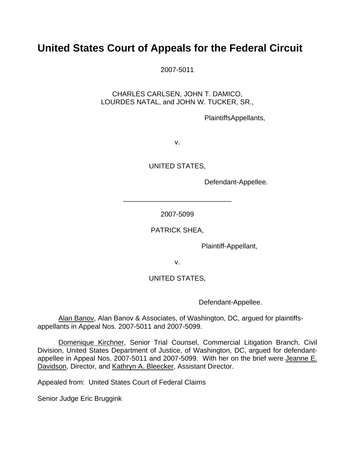## **United States Court of Appeals for the Federal Circuit**

2007-5011

CHARLES CARLSEN, JOHN T. DAMICO, LOURDES NATAL, and JOHN W. TUCKER, SR.,

PlaintiffsAppellants,

v.

UNITED STATES,

Defendant-Appellee.

2007-5099

\_\_\_\_\_\_\_\_\_\_\_\_\_\_\_\_\_\_\_\_\_\_\_\_\_\_\_\_

PATRICK SHEA,

Plaintiff-Appellant,

v.

## UNITED STATES,

Defendant-Appellee.

Alan Banov, Alan Banov & Associates, of Washington, DC, argued for plaintiffsappellants in Appeal Nos. 2007-5011 and 2007-5099.

Domenique Kirchner, Senior Trial Counsel, Commercial Litigation Branch, Civil Division, United States Department of Justice, of Washington, DC, argued for defendantappellee in Appeal Nos. 2007-5011 and 2007-5099. With her on the brief were Jeanne E. Davidson, Director, and Kathryn A. Bleecker, Assistant Director.

Appealed from: United States Court of Federal Claims

Senior Judge Eric Bruggink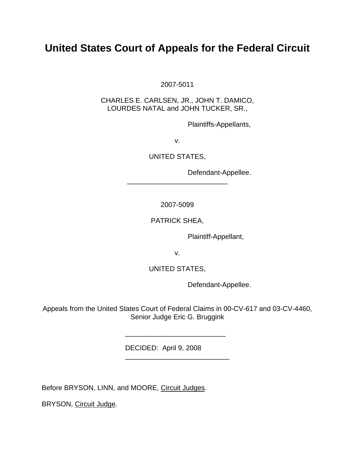## **United States Court of Appeals for the Federal Circuit**

2007-5011

CHARLES E. CARLSEN, JR., JOHN T. DAMICO, LOURDES NATAL and JOHN TUCKER, SR.,

Plaintiffs-Appellants,

v.

UNITED STATES,

Defendant-Appellee.

2007-5099

\_\_\_\_\_\_\_\_\_\_\_\_\_\_\_\_\_\_\_\_\_\_\_\_\_\_

PATRICK SHEA,

Plaintiff-Appellant,

v.

UNITED STATES,

Defendant-Appellee.

Appeals from the United States Court of Federal Claims in 00-CV-617 and 03-CV-4460, Senior Judge Eric G. Bruggink

\_\_\_\_\_\_\_\_\_\_\_\_\_\_\_\_\_\_\_\_\_\_\_\_\_\_

\_\_\_\_\_\_\_\_\_\_\_\_\_\_\_\_\_\_\_\_\_\_\_\_\_\_\_

DECIDED: April 9, 2008

Before BRYSON, LINN, and MOORE, Circuit Judges.

BRYSON, Circuit Judge.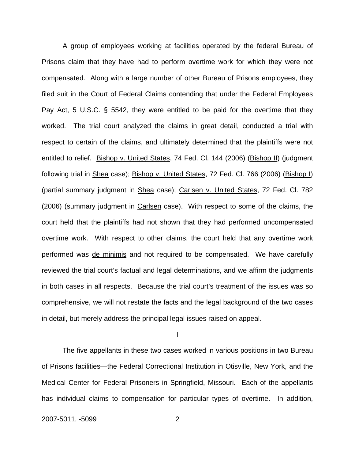A group of employees working at facilities operated by the federal Bureau of Prisons claim that they have had to perform overtime work for which they were not compensated. Along with a large number of other Bureau of Prisons employees, they filed suit in the Court of Federal Claims contending that under the Federal Employees Pay Act, 5 U.S.C. § 5542, they were entitled to be paid for the overtime that they worked. The trial court analyzed the claims in great detail, conducted a trial with respect to certain of the claims, and ultimately determined that the plaintiffs were not entitled to relief. Bishop v. United States, 74 Fed. Cl. 144 (2006) (Bishop II) (judgment following trial in Shea case); Bishop v. United States, 72 Fed. Cl. 766 (2006) (Bishop I) (partial summary judgment in Shea case); Carlsen v. United States, 72 Fed. Cl. 782 (2006) (summary judgment in Carlsen case). With respect to some of the claims, the court held that the plaintiffs had not shown that they had performed uncompensated overtime work. With respect to other claims, the court held that any overtime work performed was de minimis and not required to be compensated. We have carefully reviewed the trial court's factual and legal determinations, and we affirm the judgments in both cases in all respects. Because the trial court's treatment of the issues was so comprehensive, we will not restate the facts and the legal background of the two cases in detail, but merely address the principal legal issues raised on appeal.

I

 The five appellants in these two cases worked in various positions in two Bureau of Prisons facilities—the Federal Correctional Institution in Otisville, New York, and the Medical Center for Federal Prisoners in Springfield, Missouri. Each of the appellants has individual claims to compensation for particular types of overtime. In addition,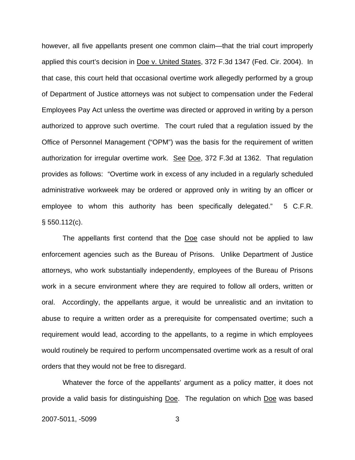however, all five appellants present one common claim—that the trial court improperly applied this court's decision in Doe v. United States, 372 F.3d 1347 (Fed. Cir. 2004). In that case, this court held that occasional overtime work allegedly performed by a group of Department of Justice attorneys was not subject to compensation under the Federal Employees Pay Act unless the overtime was directed or approved in writing by a person authorized to approve such overtime. The court ruled that a regulation issued by the Office of Personnel Management ("OPM") was the basis for the requirement of written authorization for irregular overtime work. See Doe, 372 F.3d at 1362. That regulation provides as follows: "Overtime work in excess of any included in a regularly scheduled administrative workweek may be ordered or approved only in writing by an officer or employee to whom this authority has been specifically delegated." 5 C.F.R.  $§ 550.112(c).$ 

The appellants first contend that the Doe case should not be applied to law enforcement agencies such as the Bureau of Prisons. Unlike Department of Justice attorneys, who work substantially independently, employees of the Bureau of Prisons work in a secure environment where they are required to follow all orders, written or oral. Accordingly, the appellants argue, it would be unrealistic and an invitation to abuse to require a written order as a prerequisite for compensated overtime; such a requirement would lead, according to the appellants, to a regime in which employees would routinely be required to perform uncompensated overtime work as a result of oral orders that they would not be free to disregard.

Whatever the force of the appellants' argument as a policy matter, it does not provide a valid basis for distinguishing Doe. The regulation on which Doe was based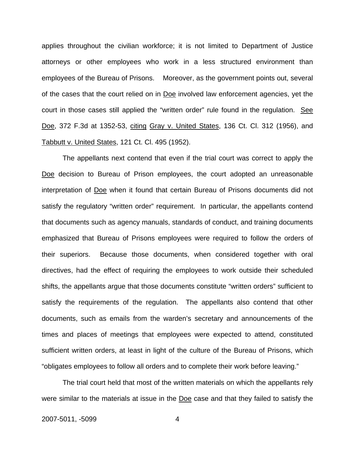applies throughout the civilian workforce; it is not limited to Department of Justice attorneys or other employees who work in a less structured environment than employees of the Bureau of Prisons. Moreover, as the government points out, several of the cases that the court relied on in Doe involved law enforcement agencies, yet the court in those cases still applied the "written order" rule found in the regulation. See Doe, 372 F.3d at 1352-53, citing Gray v. United States, 136 Ct. Cl. 312 (1956), and Tabbutt v. United States, 121 Ct. Cl. 495 (1952).

The appellants next contend that even if the trial court was correct to apply the Doe decision to Bureau of Prison employees, the court adopted an unreasonable interpretation of Doe when it found that certain Bureau of Prisons documents did not satisfy the regulatory "written order" requirement. In particular, the appellants contend that documents such as agency manuals, standards of conduct, and training documents emphasized that Bureau of Prisons employees were required to follow the orders of their superiors. Because those documents, when considered together with oral directives, had the effect of requiring the employees to work outside their scheduled shifts, the appellants argue that those documents constitute "written orders" sufficient to satisfy the requirements of the regulation. The appellants also contend that other documents, such as emails from the warden's secretary and announcements of the times and places of meetings that employees were expected to attend, constituted sufficient written orders, at least in light of the culture of the Bureau of Prisons, which "obligates employees to follow all orders and to complete their work before leaving."

The trial court held that most of the written materials on which the appellants rely were similar to the materials at issue in the Doe case and that they failed to satisfy the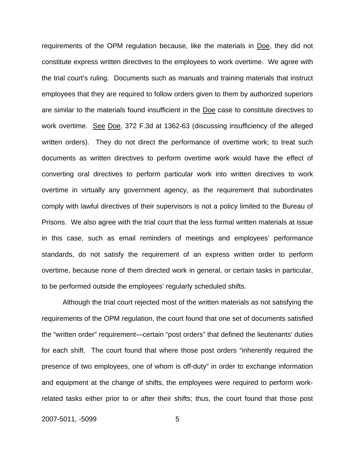requirements of the OPM regulation because, like the materials in Doe, they did not constitute express written directives to the employees to work overtime. We agree with the trial court's ruling. Documents such as manuals and training materials that instruct employees that they are required to follow orders given to them by authorized superiors are similar to the materials found insufficient in the Doe case to constitute directives to work overtime. See Doe, 372 F.3d at 1362-63 (discussing insufficiency of the alleged written orders). They do not direct the performance of overtime work; to treat such documents as written directives to perform overtime work would have the effect of converting oral directives to perform particular work into written directives to work overtime in virtually any government agency, as the requirement that subordinates comply with lawful directives of their supervisors is not a policy limited to the Bureau of Prisons. We also agree with the trial court that the less formal written materials at issue in this case, such as email reminders of meetings and employees' performance standards, do not satisfy the requirement of an express written order to perform overtime, because none of them directed work in general, or certain tasks in particular, to be performed outside the employees' regularly scheduled shifts.

Although the trial court rejected most of the written materials as not satisfying the requirements of the OPM regulation, the court found that one set of documents satisfied the "written order" requirement—certain "post orders" that defined the lieutenants' duties for each shift. The court found that where those post orders "inherently required the presence of two employees, one of whom is off-duty" in order to exchange information and equipment at the change of shifts, the employees were required to perform workrelated tasks either prior to or after their shifts; thus, the court found that those post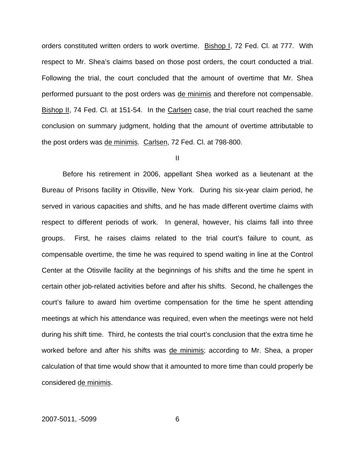orders constituted written orders to work overtime. Bishop I, 72 Fed. Cl. at 777. With respect to Mr. Shea's claims based on those post orders, the court conducted a trial. Following the trial, the court concluded that the amount of overtime that Mr. Shea performed pursuant to the post orders was de minimis and therefore not compensable. Bishop II, 74 Fed. Cl. at 151-54. In the Carlsen case, the trial court reached the same conclusion on summary judgment, holding that the amount of overtime attributable to the post orders was de minimis. Carlsen, 72 Fed. Cl. at 798-800.

II

 Before his retirement in 2006, appellant Shea worked as a lieutenant at the Bureau of Prisons facility in Otisville, New York. During his six-year claim period, he served in various capacities and shifts, and he has made different overtime claims with respect to different periods of work. In general, however, his claims fall into three groups. First, he raises claims related to the trial court's failure to count, as compensable overtime, the time he was required to spend waiting in line at the Control Center at the Otisville facility at the beginnings of his shifts and the time he spent in certain other job-related activities before and after his shifts. Second, he challenges the court's failure to award him overtime compensation for the time he spent attending meetings at which his attendance was required, even when the meetings were not held during his shift time. Third, he contests the trial court's conclusion that the extra time he worked before and after his shifts was de minimis; according to Mr. Shea, a proper calculation of that time would show that it amounted to more time than could properly be considered de minimis.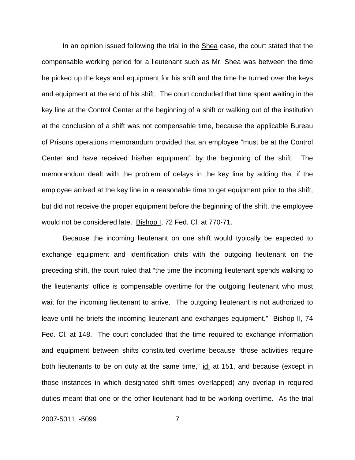In an opinion issued following the trial in the **Shea** case, the court stated that the compensable working period for a lieutenant such as Mr. Shea was between the time he picked up the keys and equipment for his shift and the time he turned over the keys and equipment at the end of his shift. The court concluded that time spent waiting in the key line at the Control Center at the beginning of a shift or walking out of the institution at the conclusion of a shift was not compensable time, because the applicable Bureau of Prisons operations memorandum provided that an employee "must be at the Control Center and have received his/her equipment" by the beginning of the shift. The memorandum dealt with the problem of delays in the key line by adding that if the employee arrived at the key line in a reasonable time to get equipment prior to the shift, but did not receive the proper equipment before the beginning of the shift, the employee would not be considered late. Bishop I, 72 Fed. Cl. at 770-71.

Because the incoming lieutenant on one shift would typically be expected to exchange equipment and identification chits with the outgoing lieutenant on the preceding shift, the court ruled that "the time the incoming lieutenant spends walking to the lieutenants' office is compensable overtime for the outgoing lieutenant who must wait for the incoming lieutenant to arrive. The outgoing lieutenant is not authorized to leave until he briefs the incoming lieutenant and exchanges equipment." Bishop II, 74 Fed. Cl. at 148. The court concluded that the time required to exchange information and equipment between shifts constituted overtime because "those activities require both lieutenants to be on duty at the same time," id. at 151, and because (except in those instances in which designated shift times overlapped) any overlap in required duties meant that one or the other lieutenant had to be working overtime. As the trial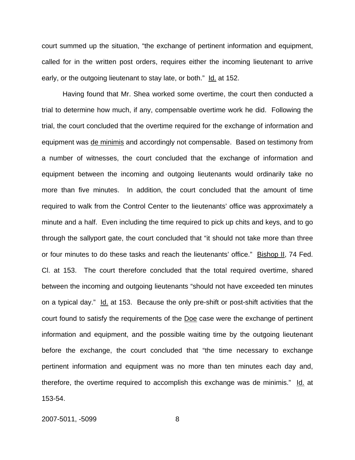court summed up the situation, "the exchange of pertinent information and equipment, called for in the written post orders, requires either the incoming lieutenant to arrive early, or the outgoing lieutenant to stay late, or both." Id. at 152.

 Having found that Mr. Shea worked some overtime, the court then conducted a trial to determine how much, if any, compensable overtime work he did. Following the trial, the court concluded that the overtime required for the exchange of information and equipment was de minimis and accordingly not compensable. Based on testimony from a number of witnesses, the court concluded that the exchange of information and equipment between the incoming and outgoing lieutenants would ordinarily take no more than five minutes. In addition, the court concluded that the amount of time required to walk from the Control Center to the lieutenants' office was approximately a minute and a half. Even including the time required to pick up chits and keys, and to go through the sallyport gate, the court concluded that "it should not take more than three or four minutes to do these tasks and reach the lieutenants' office." Bishop II, 74 Fed. Cl. at 153. The court therefore concluded that the total required overtime, shared between the incoming and outgoing lieutenants "should not have exceeded ten minutes on a typical day." Id. at 153. Because the only pre-shift or post-shift activities that the court found to satisfy the requirements of the Doe case were the exchange of pertinent information and equipment, and the possible waiting time by the outgoing lieutenant before the exchange, the court concluded that "the time necessary to exchange pertinent information and equipment was no more than ten minutes each day and, therefore, the overtime required to accomplish this exchange was de minimis." Id. at 153-54.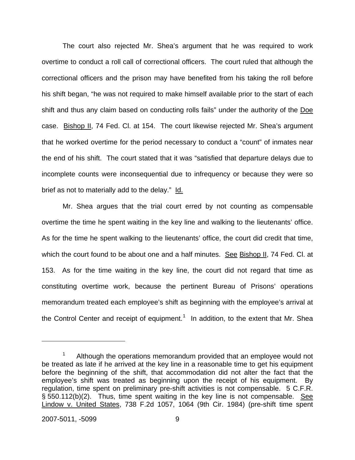The court also rejected Mr. Shea's argument that he was required to work overtime to conduct a roll call of correctional officers. The court ruled that although the correctional officers and the prison may have benefited from his taking the roll before his shift began, "he was not required to make himself available prior to the start of each shift and thus any claim based on conducting rolls fails" under the authority of the Doe case. Bishop II, 74 Fed. Cl. at 154. The court likewise rejected Mr. Shea's argument that he worked overtime for the period necessary to conduct a "count" of inmates near the end of his shift. The court stated that it was "satisfied that departure delays due to incomplete counts were inconsequential due to infrequency or because they were so brief as not to materially add to the delay." Id.

 Mr. Shea argues that the trial court erred by not counting as compensable overtime the time he spent waiting in the key line and walking to the lieutenants' office. As for the time he spent walking to the lieutenants' office, the court did credit that time, which the court found to be about one and a half minutes. See Bishop II, 74 Fed. Cl. at 153. As for the time waiting in the key line, the court did not regard that time as constituting overtime work, because the pertinent Bureau of Prisons' operations memorandum treated each employee's shift as beginning with the employee's arrival at the Control Center and receipt of equipment.<sup>[1](#page-9-0)</sup> In addition, to the extent that Mr. Shea

1

<span id="page-9-0"></span><sup>1</sup> Although the operations memorandum provided that an employee would not be treated as late if he arrived at the key line in a reasonable time to get his equipment before the beginning of the shift, that accommodation did not alter the fact that the employee's shift was treated as beginning upon the receipt of his equipment. By regulation, time spent on preliminary pre-shift activities is not compensable. 5 C.F.R. § 550.112(b)(2). Thus, time spent waiting in the key line is not compensable. See Lindow v. United States, 738 F.2d 1057, 1064 (9th Cir. 1984) (pre-shift time spent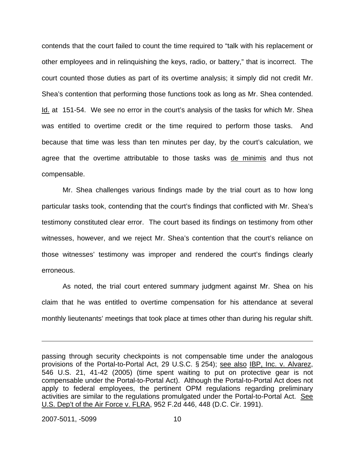contends that the court failed to count the time required to "talk with his replacement or other employees and in relinquishing the keys, radio, or battery," that is incorrect. The court counted those duties as part of its overtime analysis; it simply did not credit Mr. Shea's contention that performing those functions took as long as Mr. Shea contended. Id. at 151-54. We see no error in the court's analysis of the tasks for which Mr. Shea was entitled to overtime credit or the time required to perform those tasks. And because that time was less than ten minutes per day, by the court's calculation, we agree that the overtime attributable to those tasks was de minimis and thus not compensable.

 Mr. Shea challenges various findings made by the trial court as to how long particular tasks took, contending that the court's findings that conflicted with Mr. Shea's testimony constituted clear error. The court based its findings on testimony from other witnesses, however, and we reject Mr. Shea's contention that the court's reliance on those witnesses' testimony was improper and rendered the court's findings clearly erroneous.

 As noted, the trial court entered summary judgment against Mr. Shea on his claim that he was entitled to overtime compensation for his attendance at several monthly lieutenants' meetings that took place at times other than during his regular shift.

 $\overline{a}$ 

passing through security checkpoints is not compensable time under the analogous provisions of the Portal-to-Portal Act, 29 U.S.C. § 254); see also IBP, Inc. v. Alvarez, 546 U.S. 21, 41-42 (2005) (time spent waiting to put on protective gear is not compensable under the Portal-to-Portal Act). Although the Portal-to-Portal Act does not apply to federal employees, the pertinent OPM regulations regarding preliminary activities are similar to the regulations promulgated under the Portal-to-Portal Act. See U.S. Dep't of the Air Force v. FLRA, 952 F.2d 446, 448 (D.C. Cir. 1991).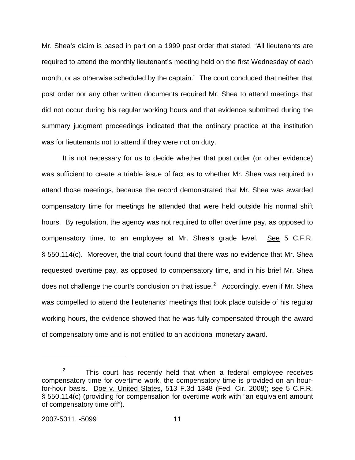Mr. Shea's claim is based in part on a 1999 post order that stated, "All lieutenants are required to attend the monthly lieutenant's meeting held on the first Wednesday of each month, or as otherwise scheduled by the captain." The court concluded that neither that post order nor any other written documents required Mr. Shea to attend meetings that did not occur during his regular working hours and that evidence submitted during the summary judgment proceedings indicated that the ordinary practice at the institution was for lieutenants not to attend if they were not on duty.

It is not necessary for us to decide whether that post order (or other evidence) was sufficient to create a triable issue of fact as to whether Mr. Shea was required to attend those meetings, because the record demonstrated that Mr. Shea was awarded compensatory time for meetings he attended that were held outside his normal shift hours. By regulation, the agency was not required to offer overtime pay, as opposed to compensatory time, to an employee at Mr. Shea's grade level. See 5 C.F.R. § 550.114(c). Moreover, the trial court found that there was no evidence that Mr. Shea requested overtime pay, as opposed to compensatory time, and in his brief Mr. Shea does not challenge the court's conclusion on that issue.<sup>[2](#page-11-0)</sup> Accordingly, even if Mr. Shea was compelled to attend the lieutenants' meetings that took place outside of his regular working hours, the evidence showed that he was fully compensated through the award of compensatory time and is not entitled to an additional monetary award.

 $\overline{a}$ 

<span id="page-11-0"></span><sup>2</sup> This court has recently held that when a federal employee receives compensatory time for overtime work, the compensatory time is provided on an hourfor-hour basis. Doe v. United States, 513 F.3d 1348 (Fed. Cir. 2008); see 5 C.F.R. § 550.114(c) (providing for compensation for overtime work with "an equivalent amount of compensatory time off").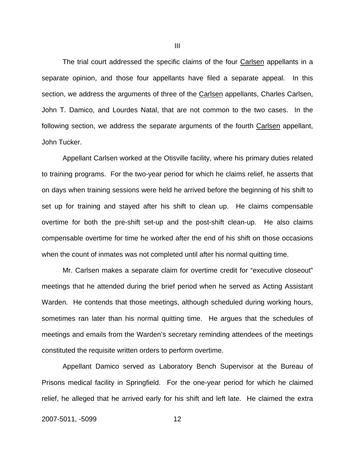The trial court addressed the specific claims of the four Carlsen appellants in a separate opinion, and those four appellants have filed a separate appeal. In this section, we address the arguments of three of the Carlsen appellants, Charles Carlsen, John T. Damico, and Lourdes Natal, that are not common to the two cases. In the following section, we address the separate arguments of the fourth Carlsen appellant, John Tucker.

 Appellant Carlsen worked at the Otisville facility, where his primary duties related to training programs. For the two-year period for which he claims relief, he asserts that on days when training sessions were held he arrived before the beginning of his shift to set up for training and stayed after his shift to clean up. He claims compensable overtime for both the pre-shift set-up and the post-shift clean-up. He also claims compensable overtime for time he worked after the end of his shift on those occasions when the count of inmates was not completed until after his normal quitting time.

Mr. Carlsen makes a separate claim for overtime credit for "executive closeout" meetings that he attended during the brief period when he served as Acting Assistant Warden. He contends that those meetings, although scheduled during working hours, sometimes ran later than his normal quitting time. He argues that the schedules of meetings and emails from the Warden's secretary reminding attendees of the meetings constituted the requisite written orders to perform overtime.

 Appellant Damico served as Laboratory Bench Supervisor at the Bureau of Prisons medical facility in Springfield. For the one-year period for which he claimed relief, he alleged that he arrived early for his shift and left late. He claimed the extra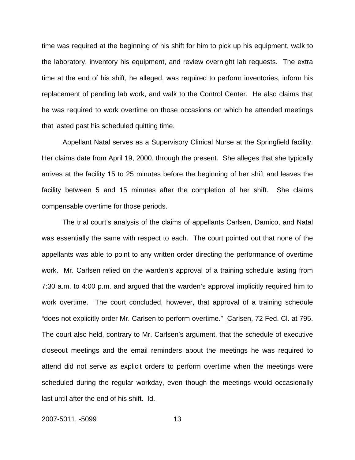time was required at the beginning of his shift for him to pick up his equipment, walk to the laboratory, inventory his equipment, and review overnight lab requests. The extra time at the end of his shift, he alleged, was required to perform inventories, inform his replacement of pending lab work, and walk to the Control Center. He also claims that he was required to work overtime on those occasions on which he attended meetings that lasted past his scheduled quitting time.

 Appellant Natal serves as a Supervisory Clinical Nurse at the Springfield facility. Her claims date from April 19, 2000, through the present. She alleges that she typically arrives at the facility 15 to 25 minutes before the beginning of her shift and leaves the facility between 5 and 15 minutes after the completion of her shift. She claims compensable overtime for those periods.

 The trial court's analysis of the claims of appellants Carlsen, Damico, and Natal was essentially the same with respect to each. The court pointed out that none of the appellants was able to point to any written order directing the performance of overtime work. Mr. Carlsen relied on the warden's approval of a training schedule lasting from 7:30 a.m. to 4:00 p.m. and argued that the warden's approval implicitly required him to work overtime. The court concluded, however, that approval of a training schedule "does not explicitly order Mr. Carlsen to perform overtime." Carlsen, 72 Fed. Cl. at 795. The court also held, contrary to Mr. Carlsen's argument, that the schedule of executive closeout meetings and the email reminders about the meetings he was required to attend did not serve as explicit orders to perform overtime when the meetings were scheduled during the regular workday, even though the meetings would occasionally last until after the end of his shift. Id.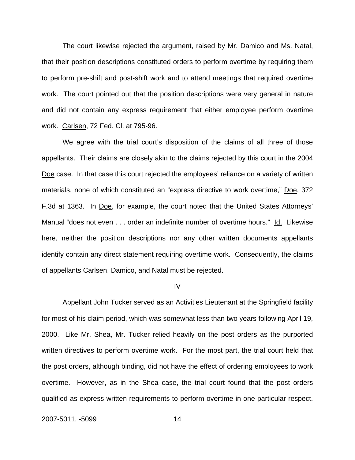The court likewise rejected the argument, raised by Mr. Damico and Ms. Natal, that their position descriptions constituted orders to perform overtime by requiring them to perform pre-shift and post-shift work and to attend meetings that required overtime work. The court pointed out that the position descriptions were very general in nature and did not contain any express requirement that either employee perform overtime work. Carlsen, 72 Fed. Cl. at 795-96.

We agree with the trial court's disposition of the claims of all three of those appellants. Their claims are closely akin to the claims rejected by this court in the 2004 Doe case. In that case this court rejected the employees' reliance on a variety of written materials, none of which constituted an "express directive to work overtime," Doe, 372 F.3d at 1363. In Doe, for example, the court noted that the United States Attorneys' Manual "does not even . . . order an indefinite number of overtime hours." Id. Likewise here, neither the position descriptions nor any other written documents appellants identify contain any direct statement requiring overtime work. Consequently, the claims of appellants Carlsen, Damico, and Natal must be rejected.

IV

 Appellant John Tucker served as an Activities Lieutenant at the Springfield facility for most of his claim period, which was somewhat less than two years following April 19, 2000. Like Mr. Shea, Mr. Tucker relied heavily on the post orders as the purported written directives to perform overtime work. For the most part, the trial court held that the post orders, although binding, did not have the effect of ordering employees to work overtime. However, as in the Shea case, the trial court found that the post orders qualified as express written requirements to perform overtime in one particular respect.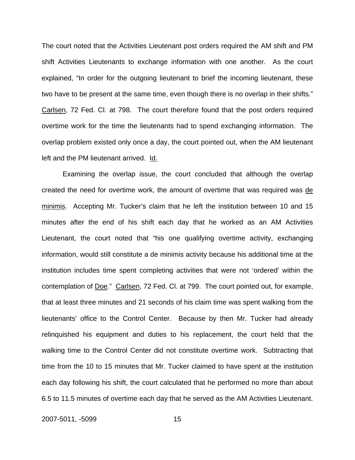The court noted that the Activities Lieutenant post orders required the AM shift and PM shift Activities Lieutenants to exchange information with one another. As the court explained, "In order for the outgoing lieutenant to brief the incoming lieutenant, these two have to be present at the same time, even though there is no overlap in their shifts." Carlsen, 72 Fed. Cl. at 798. The court therefore found that the post orders required overtime work for the time the lieutenants had to spend exchanging information. The overlap problem existed only once a day, the court pointed out, when the AM lieutenant left and the PM lieutenant arrived. Id.

 Examining the overlap issue, the court concluded that although the overlap created the need for overtime work, the amount of overtime that was required was de minimis. Accepting Mr. Tucker's claim that he left the institution between 10 and 15 minutes after the end of his shift each day that he worked as an AM Activities Lieutenant, the court noted that "his one qualifying overtime activity, exchanging information, would still constitute a de minimis activity because his additional time at the institution includes time spent completing activities that were not 'ordered' within the contemplation of Doe." Carlsen, 72 Fed. Cl. at 799. The court pointed out, for example, that at least three minutes and 21 seconds of his claim time was spent walking from the lieutenants' office to the Control Center. Because by then Mr. Tucker had already relinquished his equipment and duties to his replacement, the court held that the walking time to the Control Center did not constitute overtime work. Subtracting that time from the 10 to 15 minutes that Mr. Tucker claimed to have spent at the institution each day following his shift, the court calculated that he performed no more than about 6.5 to 11.5 minutes of overtime each day that he served as the AM Activities Lieutenant.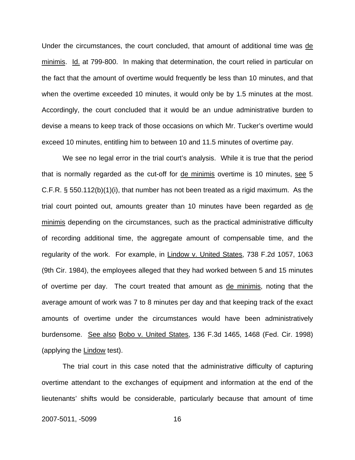Under the circumstances, the court concluded, that amount of additional time was de minimis. Id. at 799-800. In making that determination, the court relied in particular on the fact that the amount of overtime would frequently be less than 10 minutes, and that when the overtime exceeded 10 minutes, it would only be by 1.5 minutes at the most. Accordingly, the court concluded that it would be an undue administrative burden to devise a means to keep track of those occasions on which Mr. Tucker's overtime would exceed 10 minutes, entitling him to between 10 and 11.5 minutes of overtime pay.

 We see no legal error in the trial court's analysis. While it is true that the period that is normally regarded as the cut-off for de minimis overtime is 10 minutes, see 5 C.F.R. § 550.112(b)(1)(i), that number has not been treated as a rigid maximum. As the trial court pointed out, amounts greater than 10 minutes have been regarded as de minimis depending on the circumstances, such as the practical administrative difficulty of recording additional time, the aggregate amount of compensable time, and the regularity of the work. For example, in Lindow v. United States, 738 F.2d 1057, 1063 (9th Cir. 1984), the employees alleged that they had worked between 5 and 15 minutes of overtime per day. The court treated that amount as de minimis, noting that the average amount of work was 7 to 8 minutes per day and that keeping track of the exact amounts of overtime under the circumstances would have been administratively burdensome. See also Bobo v. United States, 136 F.3d 1465, 1468 (Fed. Cir. 1998) (applying the Lindow test).

The trial court in this case noted that the administrative difficulty of capturing overtime attendant to the exchanges of equipment and information at the end of the lieutenants' shifts would be considerable, particularly because that amount of time